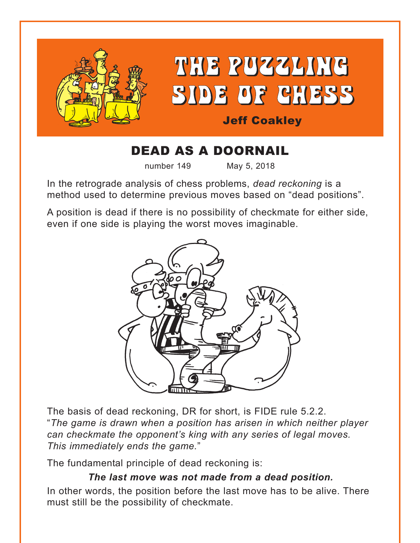

# DEAD AS A DOORNAIL

number 149 May 5, 2018

In the retrograde analysis of chess problems, *dead reckoning* is a method used to determine previous moves based on "dead positions".

A position is dead if there is no possibility of checkmate for either side, even if one side is playing the worst moves imaginable.



The basis of dead reckoning, DR for short, is FIDE rule 5.2.2. "*The game is drawn when a position has arisen in which neither player can checkmate the opponent's king with any series of legal moves. This immediately ends the game.*"

The fundamental principle of dead reckoning is:

## *The last move was not made from a dead position.*

In other words, the position before the last move has to be alive. There must still be the possibility of checkmate.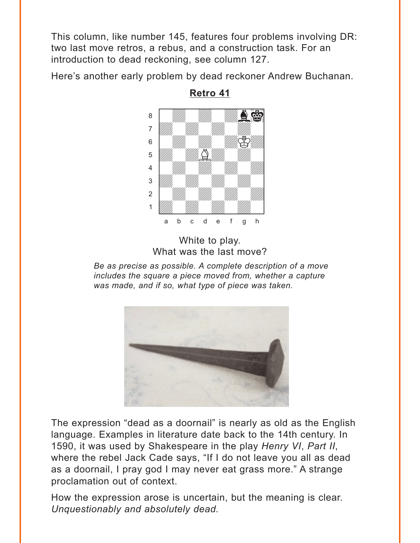<span id="page-1-0"></span>This column, like number 145, features four problems involving DR: two last move retros, a rebus, and a construction task. For an introduction to dead reckoning, see column 127.

Here's another early problem by dead reckoner Andrew Buchanan.

![](_page_1_Picture_2.jpeg)

**Retro 41**

White to play. What was the last move?

*Be as precise as possible. A complete description of a move includes the square a piece moved from, whether a capture was made, and if so, what type of piece was taken.*

![](_page_1_Picture_6.jpeg)

The expression "dead as a doornail" is nearly as old as the English language. Examples in literature date back to the 14th century. In 1590, it was used by Shakespeare in the play *Henry VI*, *Part II*, where the rebel Jack Cade says, "If I do not leave you all as dead as a doornail, I pray god I may never eat grass more." A strange proclamation out of context.

How the expression arose is uncertain, but the meaning is clear. *Unquestionably and absolutely dead.*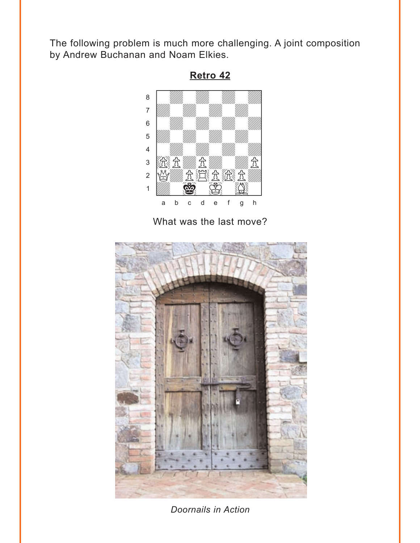<span id="page-2-0"></span>The following problem is much more challenging. A joint composition by Andrew Buchanan and Noam Elkies.

![](_page_2_Figure_1.jpeg)

What was the last move?

![](_page_2_Picture_3.jpeg)

*Doornails in Action*

**[Retro 42](#page-6-0)**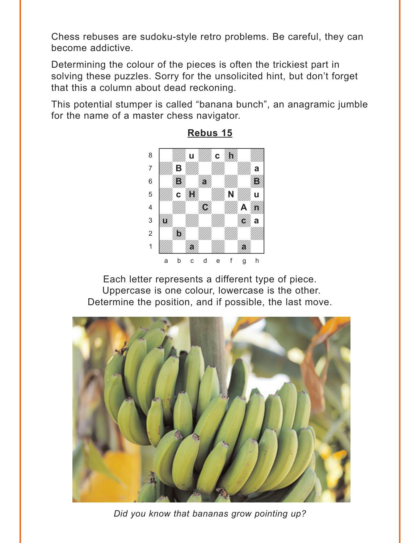<span id="page-3-0"></span>Chess rebuses are sudoku-style retro problems. Be careful, they can become addictive.

Determining the colour of the pieces is often the trickiest part in solving these puzzles. Sorry for the unsolicited hint, but don't forget that this a column about dead reckoning.

This potential stumper is called "banana bunch", an anagramic jumble for the name of a master chess navigator.

![](_page_3_Picture_3.jpeg)

**[Rebus 15](#page-8-0)**

Each letter represents a different type of piece. Uppercase is one colour, lowercase is the other. Determine the position, and if possible, the last move.

![](_page_3_Picture_6.jpeg)

*Did you know that bananas grow pointing up?*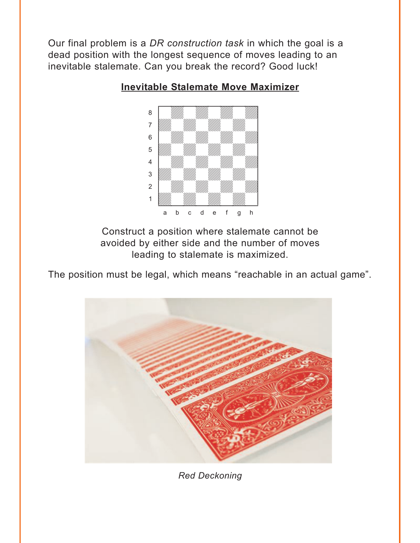<span id="page-4-0"></span>Our final problem is a *DR construction task* in which the goal is a dead position with the longest sequence of moves leading to an inevitable stalemate. Can you break the record? Good luck!

![](_page_4_Figure_1.jpeg)

#### **[Inevitable Stalemate Move Maximizer](#page-10-0)**

Construct a position where stalemate cannot be avoided by either side and the number of moves leading to stalemate is maximized.

The position must be legal, which means "reachable in an actual game".

![](_page_4_Picture_5.jpeg)

*Red Deckoning*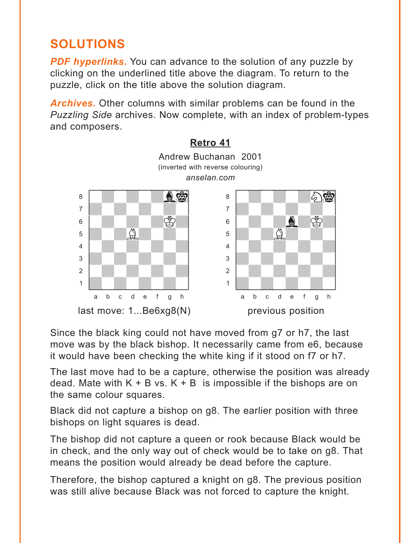## <span id="page-5-0"></span>**SOLUTIONS**

*PDF hyperlinks***.** You can advance to the solution of any puzzle by clicking on the underlined title above the diagram. To return to the puzzle, click on the title above the solution diagram.

*Archives***.** Other columns with similar problems can be found in the *Puzzling Side* archives. Now complete, with an index of problem-types and composers.

![](_page_5_Figure_3.jpeg)

Since the black king could not have moved from g7 or h7, the last move was by the black bishop. It necessarily came from e6, because it would have been checking the white king if it stood on f7 or h7.

The last move had to be a capture, otherwise the position was already dead. Mate with  $K + B$  vs.  $K + B$  is impossible if the bishops are on the same colour squares.

Black did not capture a bishop on g8. The earlier position with three bishops on light squares is dead.

The bishop did not capture a queen or rook because Black would be in check, and the only way out of check would be to take on g8. That means the position would already be dead before the capture.

Therefore, the bishop captured a knight on g8. The previous position was still alive because Black was not forced to capture the knight.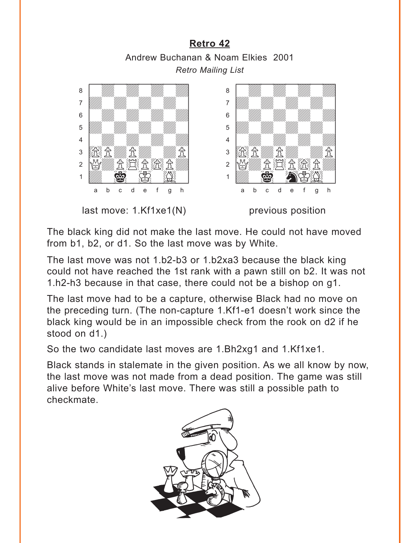## **[Retro 42](#page-2-0)** Andrew Buchanan & Noam Elkies 2001 *Retro Mailing List*

<span id="page-6-0"></span>![](_page_6_Picture_1.jpeg)

The black king did not make the last move. He could not have moved from b1, b2, or d1. So the last move was by White.

The last move was not 1.b2-b3 or 1.b2xa3 because the black king could not have reached the 1st rank with a pawn still on b2. It was not 1.h2-h3 because in that case, there could not be a bishop on g1.

The last move had to be a capture, otherwise Black had no move on the preceding turn. (The non-capture 1.Kf1-e1 doesn't work since the black king would be in an impossible check from the rook on d2 if he stood on d1.)

So the two candidate last moves are 1.Bh2xg1 and 1.Kf1xe1.

Black stands in stalemate in the given position. As we all know by now, the last move was not made from a dead position. The game was still alive before White's last move. There was still a possible path to checkmate.

![](_page_6_Picture_7.jpeg)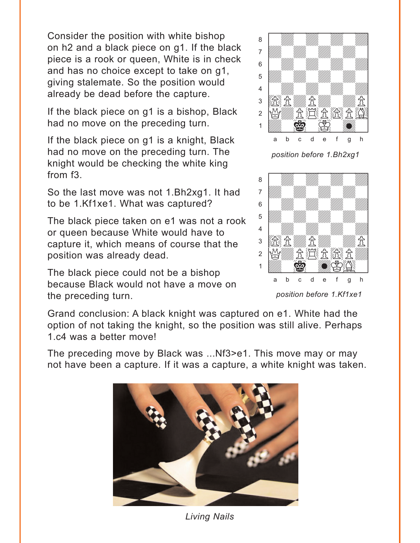Consider the position with white bishop on h2 and a black piece on g1. If the black piece is a rook or queen, White is in check and has no choice except to take on g1, giving stalemate. So the position would already be dead before the capture.

If the black piece on g1 is a bishop, Black had no move on the preceding turn.

If the black piece on g1 is a knight, Black had no move on the preceding turn. The knight would be checking the white king from f3.

So the last move was not 1.Bh2xg1. It had to be 1.Kf1xe1. What was captured?

The black piece taken on e1 was not a rook or queen because White would have to capture it, which means of course that the position was already dead.

The black piece could not be a bishop because Black would not have a move on the preceding turn.

![](_page_7_Picture_6.jpeg)

*position before 1.Bh2xg1*

![](_page_7_Picture_8.jpeg)

*position before 1.Kf1xe1*

Grand conclusion: A black knight was captured on e1. White had the option of not taking the knight, so the position was still alive. Perhaps 1.c4 was a better move!

The preceding move by Black was ...Nf3>e1. This move may or may not have been a capture. If it was a capture, a white knight was taken.

![](_page_7_Picture_12.jpeg)

*Living Nails*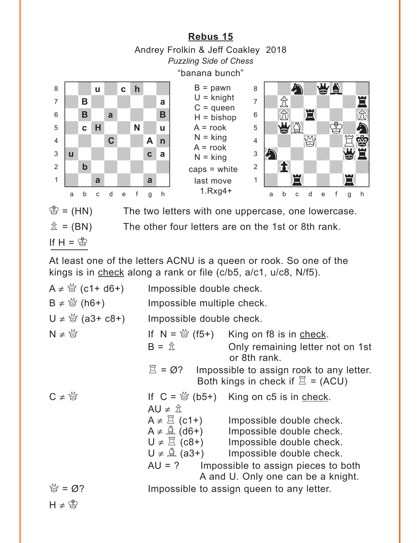**[Rebus 15](#page-3-0)** Andrey Frolkin & Jeff Coakley 2018 *Puzzling Side of Chess*

"banana bunch"

<span id="page-8-0"></span>![](_page_8_Picture_2.jpeg)

 $B =$  pawn  $U =$  knight  $C =$ queen  $H = b$ ishop  $A = root$  $N =$  king  $A = root$  $N =$  king caps = white last move 1.Rxg4+

![](_page_8_Picture_4.jpeg)

 $\mathscr{B} = (HN)$  The two letters with one uppercase, one lowercase.

 $\hat{\mathbb{Z}}$  = (BN) The other four letters are on the 1st or 8th rank.

If  $H = \mathcal{B}$ 

At least one of the letters ACNU is a queen or rook. So one of the kings is in check along a rank or file (c/b5, a/c1, u/c8, N/f5).

| $A \neq \frac{M}{Q}$ (c1+ d6+) | Impossible double check.                                                                                    |                                                                                                                                                                                                                                                                                                  |
|--------------------------------|-------------------------------------------------------------------------------------------------------------|--------------------------------------------------------------------------------------------------------------------------------------------------------------------------------------------------------------------------------------------------------------------------------------------------|
| $B \neq \frac{M}{Q}$ (h6+)     | Impossible multiple check.                                                                                  |                                                                                                                                                                                                                                                                                                  |
| U ≠ $\frac{10}{3}$ (a3+ c8+)   | Impossible double check.                                                                                    |                                                                                                                                                                                                                                                                                                  |
| $N \neq \frac{M}{N}$           | $B = \hat{\mathbb{Z}}$                                                                                      | If $N = \frac{M}{Q}$ (f5+) King on f8 is in check.<br>Only remaining letter not on 1st<br>or 8th rank.                                                                                                                                                                                           |
|                                | $\mathbb{Z} = \emptyset$ ? Impossible to assign rook to any letter.<br>Both kings in check if $\Xi$ = (ACU) |                                                                                                                                                                                                                                                                                                  |
| $C \neq \mathbb{S}$            | AU $\neq$ $\hat{\mathbb{Z}}$                                                                                | If $C = \frac{36}{12}$ (b5+) King on c5 is in check.                                                                                                                                                                                                                                             |
|                                |                                                                                                             | $A \neq \Xi$ (c1+) Impossible double check.<br>$A \neq \hat{A}$ (d6+) Impossible double check.<br>$U \neq \mathbb{Z}$ (c8+) Impossible double check.<br>$U \neq \mathbb{Q}$ (a3+) Impossible double check.<br>$AU = ?$ Impossible to assign pieces to both<br>A and U. Only one can be a knight. |
| $\mathcal{Q} = \emptyset$ ?    | Impossible to assign queen to any letter.                                                                   |                                                                                                                                                                                                                                                                                                  |
| $H \neq \mathcal{B}$           |                                                                                                             |                                                                                                                                                                                                                                                                                                  |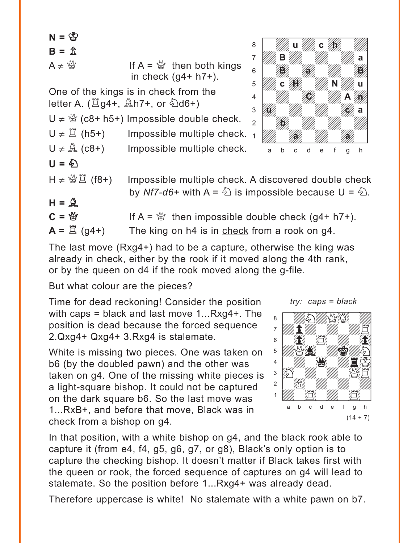$N = \otimes$  $B = \hat{x}$  $A \neq \mathbb{S}$  If  $A = \mathbb{S}$  then both kings in check  $(g4+ h7+)$ . One of the kings is in check from the letter A.  $(\Xi$ g4+,  $\triangle$ h7+, or  $\triangle$ d6+) U  $\neq$   $\frac{10}{3}$  (c8+ h5+) Impossible double check.  $U \neq \mathbb{Z}$  (h5+) Impossible multiple check. <sub>1</sub>  $U \neq \mathcal{Q}$  (c8+) Impossible multiple check.  $U =$   $\Sigma$ H ≠ 營  $\mathbb{Z}$  (f8+) Impossible multiple check. A discovered double check by *Nf7-d6*+ with  $A = \hat{A}$  is impossible because  $U = \hat{A}$ .  $H = \mathbb{Q}$  $C = \frac{M}{Q}$  If A =  $\frac{M}{Q}$  then impossible double check (g4+ h7+).  $A = \mathbb{E}$  (g4+) The king on h4 is in check from a rook on g4. with the set of the set of the set of the set of the set of the set of the set of the set of the set of the set of the set of the set of the set of the set of the set of the set of the set of the set of the set of the set 8 *William Chamberland* 7 *William B William Willia* a **c**  $\begin{picture}(180,10) \put(0,0){\line(1,0){10}} \put(10,0){\line(1,0){10}} \put(10,0){\line(1,0){10}} \put(10,0){\line(1,0){10}} \put(10,0){\line(1,0){10}} \put(10,0){\line(1,0){10}} \put(10,0){\line(1,0){10}} \put(10,0){\line(1,0){10}} \put(10,0){\line(1,0){10}} \put(10,0){\line(1,0){10}} \put(10,0){\line(1,0){10}} \put(10,0){\line($ 5 *W<sub>ill</sub>*, c  $\frac{1}{2}$  will **N**  $\frac{1}{2}$  u  $\begin{array}{c|c|c|c|c} \hline \end{array}$   $\begin{array}{c|c|c|c} \hline \end{array}$  $\frac{1}{\sqrt{2}}$ 2 **Digital Mille Mille Mille Street Former** 1 Uddy Holly Holly Holly a b c d e f g h **u** *<i>i* **li B** *With With* **a B** a Bhaile ann an B **C** Ann an A **u c a b a** a *millime "M*ain"

The last move (Rxg4+) had to be a capture, otherwise the king was already in check, either by the rook if it moved along the 4th rank, or by the queen on d4 if the rook moved along the g-file.

But what colour are the pieces?

Time for dead reckoning! Consider the position with caps = black and last move 1...Rxg4+. The position is dead because the forced sequence 2.Qxg4+ Qxg4+ 3.Rxg4 is stalemate.

White is missing two pieces. One was taken on b6 (by the doubled pawn) and the other was taken on g4. One of the missing white pieces is a light-square bishop. It could not be captured on the dark square b6. So the last move was 1...RxB+, and before that move, Black was in check from a bishop on g4.

![](_page_9_Picture_6.jpeg)

In that position, with a white bishop on g4, and the black rook able to capture it (from e4, f4, g5, g6, g7, or g8), Black's only option is to capture the checking bishop. It doesn't matter if Black takes first with the queen or rook, the forced sequence of captures on g4 will lead to stalemate. So the position before 1...Rxg4+ was already dead.

Therefore uppercase is white! No stalemate with a white pawn on b7.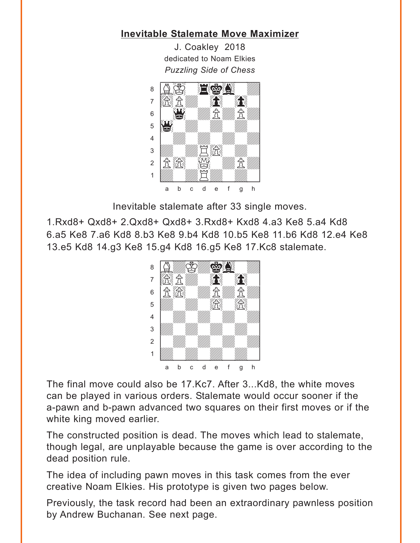## <span id="page-10-0"></span>**[Inevitable Stalemate Move Maximizer](#page-4-0)**

J. Coakley 2018 dedicated to Noam Elkies *Puzzling Side of Chess* w\_\_\_\_\_\_\_\_w

![](_page_10_Picture_2.jpeg)

Inevitable stalemate after 33 single moves.

1.Rxd8+ Qxd8+ 2.Qxd8+ Qxd8+ 3.Rxd8+ Kxd8 4.a3 Ke8 5.a4 Kd8 6.a5 Ke8 7.a6 Kd8 8.b3 Ke8 9.b4 Kd8 10.b5 Ke8 11.b6 Kd8 12.e4 Ke8 13.e5 Kd8 14.g3 Ke8 15.g4 Kd8 16.g5 Ke8 17.Kc8 stalemate.

![](_page_10_Picture_5.jpeg)

The final move could also be 17.Kc7. After 3...Kd8, the white moves can be played in various orders. Stalemate would occur sooner if the a-pawn and b-pawn advanced two squares on their first moves or if the white king moved earlier.

The constructed position is dead. The moves which lead to stalemate, though legal, are unplayable because the game is over according to the dead position rule.

The idea of including pawn moves in this task comes from the ever creative Noam Elkies. His prototype is given two pages below.

Previously, the task record had been an extraordinary pawnless position by Andrew Buchanan. See next page.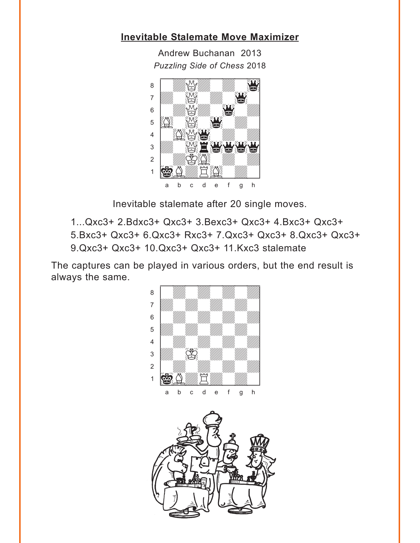## **[Inevitable Stalemate Move Maximizer](#page-4-0)**

Andrew Buchanan 2013 *Puzzling Side of Chess* 2018 w\_\_\_\_\_\_\_\_w

![](_page_11_Picture_2.jpeg)

Inevitable stalemate after 20 single moves.

- 1...Qxc3+ 2.Bdxc3+ Qxc3+ 3.Bexc3+ Qxc3+ 4.Bxc3+ Qxc3+
- 5.Bxc3+ Qxc3+ 6.Qxc3+ Rxc3+ 7.Qxc3+ Qxc3+ 8.Qxc3+ Qxc3+ 9.Qxc3+ Qxc3+ 10.Qxc3+ Qxc3+ 11.Kxc3 stalemate

The captures can be played in various orders, but the end result is always the same.

![](_page_11_Picture_7.jpeg)

![](_page_11_Picture_8.jpeg)